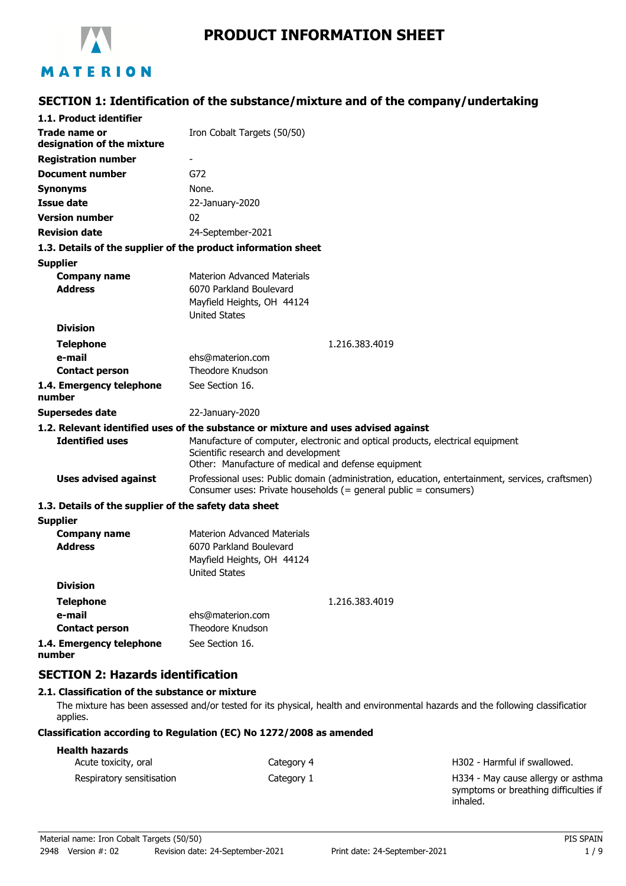

# **PRODUCT INFORMATION SHEET**

# **SECTION 1: Identification of the substance/mixture and of the company/undertaking**

| 1.1. Product identifier                               |                                                                                                                                                                              |
|-------------------------------------------------------|------------------------------------------------------------------------------------------------------------------------------------------------------------------------------|
| Trade name or<br>designation of the mixture           | Iron Cobalt Targets (50/50)                                                                                                                                                  |
| <b>Registration number</b>                            |                                                                                                                                                                              |
| <b>Document number</b>                                | G72                                                                                                                                                                          |
| <b>Synonyms</b>                                       | None.                                                                                                                                                                        |
| <b>Issue date</b>                                     | 22-January-2020                                                                                                                                                              |
| <b>Version number</b>                                 | 02                                                                                                                                                                           |
| <b>Revision date</b>                                  | 24-September-2021                                                                                                                                                            |
|                                                       | 1.3. Details of the supplier of the product information sheet                                                                                                                |
| <b>Supplier</b>                                       |                                                                                                                                                                              |
| <b>Company name</b><br><b>Address</b>                 | <b>Materion Advanced Materials</b><br>6070 Parkland Boulevard<br>Mayfield Heights, OH 44124<br><b>United States</b>                                                          |
| <b>Division</b>                                       |                                                                                                                                                                              |
| <b>Telephone</b>                                      | 1.216.383.4019                                                                                                                                                               |
| e-mail                                                | ehs@materion.com                                                                                                                                                             |
| <b>Contact person</b>                                 | Theodore Knudson                                                                                                                                                             |
| 1.4. Emergency telephone<br>number                    | See Section 16.                                                                                                                                                              |
| <b>Supersedes date</b>                                | 22-January-2020                                                                                                                                                              |
|                                                       | 1.2. Relevant identified uses of the substance or mixture and uses advised against                                                                                           |
| <b>Identified uses</b>                                | Manufacture of computer, electronic and optical products, electrical equipment<br>Scientific research and development<br>Other: Manufacture of medical and defense equipment |
| <b>Uses advised against</b>                           | Professional uses: Public domain (administration, education, entertainment, services, craftsmen)<br>Consumer uses: Private households (= general public = consumers)         |
| 1.3. Details of the supplier of the safety data sheet |                                                                                                                                                                              |
| <b>Supplier</b>                                       |                                                                                                                                                                              |
| <b>Company name</b><br><b>Address</b>                 | <b>Materion Advanced Materials</b><br>6070 Parkland Boulevard<br>Mayfield Heights, OH 44124<br><b>United States</b>                                                          |
| <b>Division</b>                                       |                                                                                                                                                                              |
| <b>Telephone</b>                                      | 1.216.383.4019                                                                                                                                                               |
| e-mail                                                | ehs@materion.com                                                                                                                                                             |
| <b>Contact person</b>                                 | Theodore Knudson                                                                                                                                                             |
| 1.4. Emergency telephone<br>number                    | See Section 16.                                                                                                                                                              |

## **SECTION 2: Hazards identification**

#### **2.1. Classification of the substance or mixture**

The mixture has been assessed and/or tested for its physical, health and environmental hazards and the following classification applies.

#### **Classification according to Regulation (EC) No 1272/2008 as amended**

### Acute toxicity, oral **Acute toxicity, oral** Category 4 Category 4 **Acute toxicity**, oral **Health hazards** Respiratory sensitisation example and Category 1

H334 - May cause allergy or asthma symptoms or breathing difficulties if inhaled.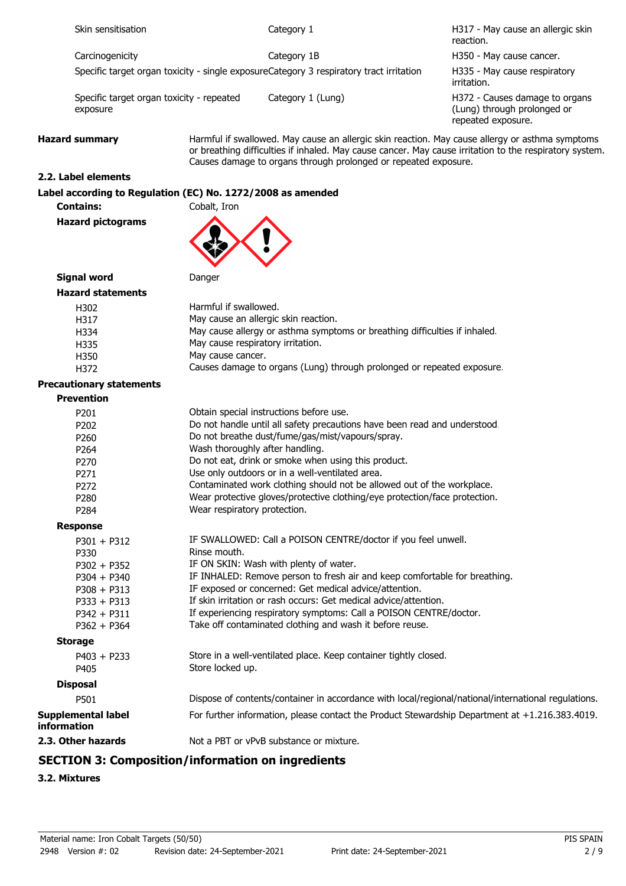| Skin sensitisation                                    | Category 1                                                                              | H317 - May cause an allergic skin<br>reaction.                                                                                                                                                             |
|-------------------------------------------------------|-----------------------------------------------------------------------------------------|------------------------------------------------------------------------------------------------------------------------------------------------------------------------------------------------------------|
| Carcinogenicity                                       | Category 1B                                                                             | H350 - May cause cancer.                                                                                                                                                                                   |
|                                                       | Specific target organ toxicity - single exposureCategory 3 respiratory tract irritation | H335 - May cause respiratory<br>irritation.                                                                                                                                                                |
| Specific target organ toxicity - repeated<br>exposure | Category 1 (Lung)                                                                       | H372 - Causes damage to organs<br>(Lung) through prolonged or<br>repeated exposure.                                                                                                                        |
| <b>Hazard summary</b>                                 |                                                                                         | Harmful if swallowed. May cause an allergic skin reaction. May cause allergy or asthma symptoms<br>or breathing difficulties if inhaled. May cause cancer. May cause irritation to the respiratory system. |

Causes damage to organs through prolonged or repeated exposure.

#### **2.2. Label elements**

**Label according to Regulation (EC) No. 1272/2008 as amended**

**Contains:** Cobalt, Iron **Hazard pictograms**



**Signal word** Danger

| <b>Hazard statements</b> |                                                                            |
|--------------------------|----------------------------------------------------------------------------|
| H302                     | Harmful if swallowed.                                                      |
| H317                     | May cause an allergic skin reaction.                                       |
| H334                     | May cause allergy or asthma symptoms or breathing difficulties if inhaled. |
| H335                     | May cause respiratory irritation.                                          |
| H350                     | May cause cancer.                                                          |
| H372                     | Causes damage to organs (Lung) through prolonged or repeated exposure.     |

#### **Precautionary statements**

| <b>Prevention</b>                        |                                                                                                     |
|------------------------------------------|-----------------------------------------------------------------------------------------------------|
| P <sub>201</sub>                         | Obtain special instructions before use.                                                             |
| P202                                     | Do not handle until all safety precautions have been read and understood.                           |
| P260                                     | Do not breathe dust/fume/gas/mist/vapours/spray.                                                    |
| P264                                     | Wash thoroughly after handling.                                                                     |
| P270                                     | Do not eat, drink or smoke when using this product.                                                 |
| P <sub>271</sub>                         | Use only outdoors or in a well-ventilated area.                                                     |
| P <sub>272</sub>                         | Contaminated work clothing should not be allowed out of the workplace.                              |
| P <sub>280</sub>                         | Wear protective gloves/protective clothing/eye protection/face protection.                          |
| P284                                     | Wear respiratory protection.                                                                        |
| <b>Response</b>                          |                                                                                                     |
| $P301 + P312$                            | IF SWALLOWED: Call a POISON CENTRE/doctor if you feel unwell.                                       |
| P330                                     | Rinse mouth.                                                                                        |
| $P302 + P352$                            | IF ON SKIN: Wash with plenty of water.                                                              |
| $P304 + P340$                            | IF INHALED: Remove person to fresh air and keep comfortable for breathing.                          |
| $P308 + P313$                            | IF exposed or concerned: Get medical advice/attention.                                              |
| $P333 + P313$                            | If skin irritation or rash occurs: Get medical advice/attention.                                    |
| $P342 + P311$                            | If experiencing respiratory symptoms: Call a POISON CENTRE/doctor.                                  |
| $P362 + P364$                            | Take off contaminated clothing and wash it before reuse.                                            |
| <b>Storage</b>                           |                                                                                                     |
| $P403 + P233$                            | Store in a well-ventilated place. Keep container tightly closed.                                    |
| P405                                     | Store locked up.                                                                                    |
| <b>Disposal</b>                          |                                                                                                     |
| P501                                     | Dispose of contents/container in accordance with local/regional/national/international regulations. |
| <b>Supplemental label</b><br>information | For further information, please contact the Product Stewardship Department at +1.216.383.4019.      |
| 2.3. Other hazards                       | Not a PBT or vPvB substance or mixture.                                                             |
|                                          |                                                                                                     |

# **SECTION 3: Composition/information on ingredients**

## **3.2. Mixtures**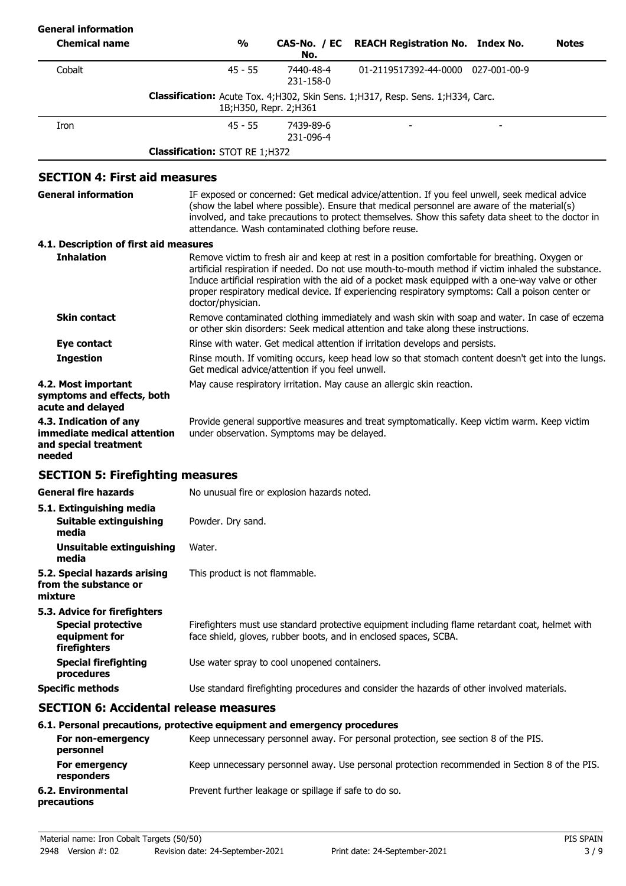| <b>General information</b>                                                                 |                                       |                                                                                                                                                        |                                                                                                                                                                                                                                                                                                                                                                                                                 |  |              |
|--------------------------------------------------------------------------------------------|---------------------------------------|--------------------------------------------------------------------------------------------------------------------------------------------------------|-----------------------------------------------------------------------------------------------------------------------------------------------------------------------------------------------------------------------------------------------------------------------------------------------------------------------------------------------------------------------------------------------------------------|--|--------------|
| <b>Chemical name</b>                                                                       | $\frac{6}{6}$                         | CAS-No. / EC<br>No.                                                                                                                                    | <b>REACH Registration No. Index No.</b>                                                                                                                                                                                                                                                                                                                                                                         |  | <b>Notes</b> |
| Cobalt                                                                                     | $45 - 55$                             | 7440-48-4<br>231-158-0                                                                                                                                 | 01-2119517392-44-0000 027-001-00-9                                                                                                                                                                                                                                                                                                                                                                              |  |              |
|                                                                                            |                                       | 1B; H350, Repr. 2; H361                                                                                                                                | <b>Classification:</b> Acute Tox. 4;H302, Skin Sens. 1;H317, Resp. Sens. 1;H334, Carc.                                                                                                                                                                                                                                                                                                                          |  |              |
| Iron                                                                                       | $45 - 55$                             | 7439-89-6<br>231-096-4                                                                                                                                 |                                                                                                                                                                                                                                                                                                                                                                                                                 |  |              |
|                                                                                            | <b>Classification: STOT RE 1;H372</b> |                                                                                                                                                        |                                                                                                                                                                                                                                                                                                                                                                                                                 |  |              |
| <b>SECTION 4: First aid measures</b>                                                       |                                       |                                                                                                                                                        |                                                                                                                                                                                                                                                                                                                                                                                                                 |  |              |
| <b>General information</b>                                                                 |                                       | attendance. Wash contaminated clothing before reuse.                                                                                                   | IF exposed or concerned: Get medical advice/attention. If you feel unwell, seek medical advice<br>(show the label where possible). Ensure that medical personnel are aware of the material(s)<br>involved, and take precautions to protect themselves. Show this safety data sheet to the doctor in                                                                                                             |  |              |
| 4.1. Description of first aid measures                                                     |                                       |                                                                                                                                                        |                                                                                                                                                                                                                                                                                                                                                                                                                 |  |              |
| <b>Inhalation</b>                                                                          | doctor/physician.                     |                                                                                                                                                        | Remove victim to fresh air and keep at rest in a position comfortable for breathing. Oxygen or<br>artificial respiration if needed. Do not use mouth-to-mouth method if victim inhaled the substance.<br>Induce artificial respiration with the aid of a pocket mask equipped with a one-way valve or other<br>proper respiratory medical device. If experiencing respiratory symptoms: Call a poison center or |  |              |
| <b>Skin contact</b>                                                                        |                                       |                                                                                                                                                        | Remove contaminated clothing immediately and wash skin with soap and water. In case of eczema<br>or other skin disorders: Seek medical attention and take along these instructions.                                                                                                                                                                                                                             |  |              |
| <b>Eye contact</b>                                                                         |                                       | Rinse with water. Get medical attention if irritation develops and persists.                                                                           |                                                                                                                                                                                                                                                                                                                                                                                                                 |  |              |
| <b>Ingestion</b>                                                                           |                                       | Rinse mouth. If vomiting occurs, keep head low so that stomach content doesn't get into the lungs.<br>Get medical advice/attention if you feel unwell. |                                                                                                                                                                                                                                                                                                                                                                                                                 |  |              |
| 4.2. Most important<br>symptoms and effects, both<br>acute and delayed                     |                                       |                                                                                                                                                        | May cause respiratory irritation. May cause an allergic skin reaction.                                                                                                                                                                                                                                                                                                                                          |  |              |
| 4.3. Indication of any<br>immediate medical attention<br>and special treatment<br>needed   |                                       | under observation. Symptoms may be delayed.                                                                                                            | Provide general supportive measures and treat symptomatically. Keep victim warm. Keep victim                                                                                                                                                                                                                                                                                                                    |  |              |
| <b>SECTION 5: Firefighting measures</b>                                                    |                                       |                                                                                                                                                        |                                                                                                                                                                                                                                                                                                                                                                                                                 |  |              |
| General fire hazards                                                                       |                                       | No unusual fire or explosion hazards noted.                                                                                                            |                                                                                                                                                                                                                                                                                                                                                                                                                 |  |              |
| 5.1. Extinguishing media<br>Suitable extinguishing<br>media                                | Powder. Dry sand.                     |                                                                                                                                                        |                                                                                                                                                                                                                                                                                                                                                                                                                 |  |              |
| Unsuitable extinguishing<br>media                                                          | Water.                                |                                                                                                                                                        |                                                                                                                                                                                                                                                                                                                                                                                                                 |  |              |
| 5.2. Special hazards arising<br>from the substance or<br>mixture                           | This product is not flammable.        |                                                                                                                                                        |                                                                                                                                                                                                                                                                                                                                                                                                                 |  |              |
| 5.3. Advice for firefighters<br><b>Special protective</b><br>equipment for<br>firefighters |                                       |                                                                                                                                                        | Firefighters must use standard protective equipment including flame retardant coat, helmet with<br>face shield, gloves, rubber boots, and in enclosed spaces, SCBA.                                                                                                                                                                                                                                             |  |              |
| <b>Special firefighting</b><br>procedures                                                  |                                       | Use water spray to cool unopened containers.                                                                                                           |                                                                                                                                                                                                                                                                                                                                                                                                                 |  |              |
| <b>Specific methods</b>                                                                    |                                       |                                                                                                                                                        | Use standard firefighting procedures and consider the hazards of other involved materials.                                                                                                                                                                                                                                                                                                                      |  |              |
| <b>SECTION 6: Accidental release measures</b>                                              |                                       |                                                                                                                                                        |                                                                                                                                                                                                                                                                                                                                                                                                                 |  |              |
| 6.1. Personal precautions, protective equipment and emergency procedures                   |                                       |                                                                                                                                                        |                                                                                                                                                                                                                                                                                                                                                                                                                 |  |              |

|                                    | 0.1. Fel solidi precautions, protective equipment and emergency procedures                    |
|------------------------------------|-----------------------------------------------------------------------------------------------|
| For non-emergency<br>personnel     | Keep unnecessary personnel away. For personal protection, see section 8 of the PIS.           |
| For emergency<br><b>responders</b> | Keep unnecessary personnel away. Use personal protection recommended in Section 8 of the PIS. |
| 6.2. Environmental<br>precautions  | Prevent further leakage or spillage if safe to do so.                                         |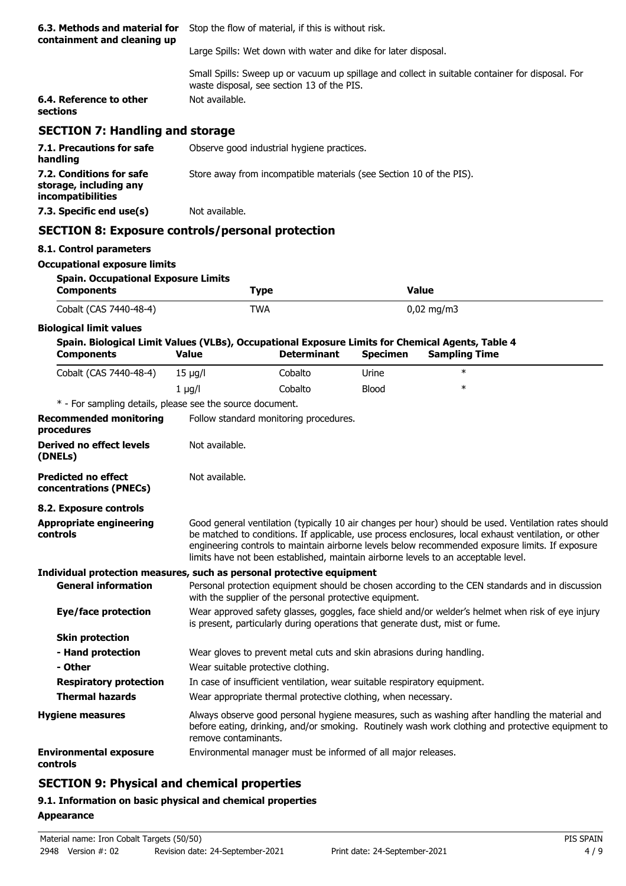| 6.3. Methods and material for<br>containment and cleaning up                   | Stop the flow of material, if this is without risk.                                                                                                              |
|--------------------------------------------------------------------------------|------------------------------------------------------------------------------------------------------------------------------------------------------------------|
|                                                                                | Large Spills: Wet down with water and dike for later disposal.                                                                                                   |
| 6.4. Reference to other                                                        | Small Spills: Sweep up or vacuum up spillage and collect in suitable container for disposal. For<br>waste disposal, see section 13 of the PIS.<br>Not available. |
| sections                                                                       |                                                                                                                                                                  |
| <b>SECTION 7: Handling and storage</b>                                         |                                                                                                                                                                  |
| 7.1. Precautions for safe<br>handling                                          | Observe good industrial hygiene practices.                                                                                                                       |
| 7.2. Conditions for safe<br>storage, including any<br><i>incompatibilities</i> | Store away from incompatible materials (see Section 10 of the PIS).                                                                                              |
| 7.3. Specific end use(s)                                                       | Not available.                                                                                                                                                   |
|                                                                                | <b>SECTION 8: Exposure controls/personal protection</b>                                                                                                          |
| 8.1. Control parameters                                                        |                                                                                                                                                                  |

#### **Occupational exposure limits**

| <b>Spain. Occupational Exposure Limits</b><br>Components | Type | Value                 |  |
|----------------------------------------------------------|------|-----------------------|--|
| Cobalt (CAS 7440-48-4)                                   | TWA  | $0,02 \text{ mg/m}$ 3 |  |

### **Biological limit values**

| Spain. Biological Limit Values (VLBs), Occupational Exposure Limits for Chemical Agents, Table 4<br><b>Components</b> | <b>Value</b>         | <b>Determinant</b>                                                                                                                                                                | <b>Specimen</b> | <b>Sampling Time</b>                                                                                                                                                                                                                                                                                                                                                                                   |
|-----------------------------------------------------------------------------------------------------------------------|----------------------|-----------------------------------------------------------------------------------------------------------------------------------------------------------------------------------|-----------------|--------------------------------------------------------------------------------------------------------------------------------------------------------------------------------------------------------------------------------------------------------------------------------------------------------------------------------------------------------------------------------------------------------|
| Cobalt (CAS 7440-48-4)                                                                                                | $15 \mu g/l$         | Cobalto                                                                                                                                                                           | Urine           | $\ast$                                                                                                                                                                                                                                                                                                                                                                                                 |
|                                                                                                                       | $1 \mu g/l$          | Cobalto                                                                                                                                                                           | <b>Blood</b>    | $\ast$                                                                                                                                                                                                                                                                                                                                                                                                 |
| * - For sampling details, please see the source document.                                                             |                      |                                                                                                                                                                                   |                 |                                                                                                                                                                                                                                                                                                                                                                                                        |
| <b>Recommended monitoring</b><br>procedures                                                                           |                      | Follow standard monitoring procedures.                                                                                                                                            |                 |                                                                                                                                                                                                                                                                                                                                                                                                        |
| <b>Derived no effect levels</b><br>(DNELs)                                                                            | Not available.       |                                                                                                                                                                                   |                 |                                                                                                                                                                                                                                                                                                                                                                                                        |
| <b>Predicted no effect</b><br>concentrations (PNECs)                                                                  | Not available.       |                                                                                                                                                                                   |                 |                                                                                                                                                                                                                                                                                                                                                                                                        |
| 8.2. Exposure controls                                                                                                |                      |                                                                                                                                                                                   |                 |                                                                                                                                                                                                                                                                                                                                                                                                        |
| <b>Appropriate engineering</b><br>controls                                                                            |                      |                                                                                                                                                                                   |                 | Good general ventilation (typically 10 air changes per hour) should be used. Ventilation rates should<br>be matched to conditions. If applicable, use process enclosures, local exhaust ventilation, or other<br>engineering controls to maintain airborne levels below recommended exposure limits. If exposure<br>limits have not been established, maintain airborne levels to an acceptable level. |
| Individual protection measures, such as personal protective equipment                                                 |                      |                                                                                                                                                                                   |                 |                                                                                                                                                                                                                                                                                                                                                                                                        |
| <b>General information</b>                                                                                            |                      | with the supplier of the personal protective equipment.                                                                                                                           |                 | Personal protection equipment should be chosen according to the CEN standards and in discussion                                                                                                                                                                                                                                                                                                        |
| Eye/face protection                                                                                                   |                      | Wear approved safety glasses, goggles, face shield and/or welder's helmet when risk of eye injury<br>is present, particularly during operations that generate dust, mist or fume. |                 |                                                                                                                                                                                                                                                                                                                                                                                                        |
| <b>Skin protection</b>                                                                                                |                      |                                                                                                                                                                                   |                 |                                                                                                                                                                                                                                                                                                                                                                                                        |
| - Hand protection                                                                                                     |                      | Wear gloves to prevent metal cuts and skin abrasions during handling.                                                                                                             |                 |                                                                                                                                                                                                                                                                                                                                                                                                        |
| - Other                                                                                                               |                      | Wear suitable protective clothing.                                                                                                                                                |                 |                                                                                                                                                                                                                                                                                                                                                                                                        |
| <b>Respiratory protection</b>                                                                                         |                      | In case of insufficient ventilation, wear suitable respiratory equipment.                                                                                                         |                 |                                                                                                                                                                                                                                                                                                                                                                                                        |
| <b>Thermal hazards</b>                                                                                                |                      | Wear appropriate thermal protective clothing, when necessary.                                                                                                                     |                 |                                                                                                                                                                                                                                                                                                                                                                                                        |
| <b>Hygiene measures</b>                                                                                               | remove contaminants. |                                                                                                                                                                                   |                 | Always observe good personal hygiene measures, such as washing after handling the material and<br>before eating, drinking, and/or smoking. Routinely wash work clothing and protective equipment to                                                                                                                                                                                                    |
| <b>Environmental exposure</b><br>controls                                                                             |                      | Environmental manager must be informed of all major releases.                                                                                                                     |                 |                                                                                                                                                                                                                                                                                                                                                                                                        |

# **SECTION 9: Physical and chemical properties**

# **9.1. Information on basic physical and chemical properties**

#### **Appearance**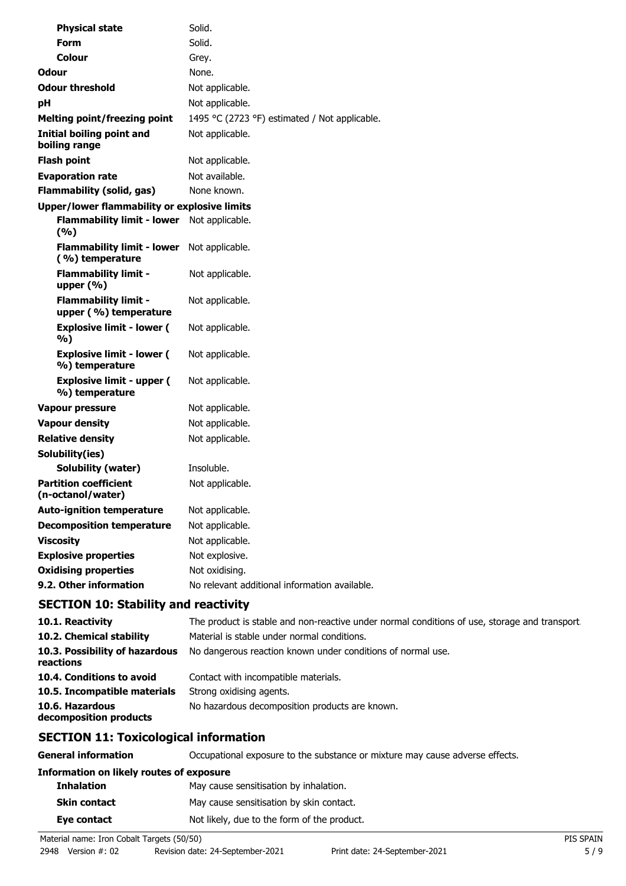| <b>Physical state</b>                                         | Solid.                                        |  |  |
|---------------------------------------------------------------|-----------------------------------------------|--|--|
| <b>Form</b>                                                   | Solid.                                        |  |  |
| Colour                                                        | Grey.                                         |  |  |
| Odour                                                         | None.                                         |  |  |
| <b>Odour threshold</b>                                        | Not applicable.                               |  |  |
| pH                                                            | Not applicable.                               |  |  |
| <b>Melting point/freezing point</b>                           | 1495 °C (2723 °F) estimated / Not applicable. |  |  |
| Initial boiling point and<br>boiling range                    | Not applicable.                               |  |  |
| <b>Flash point</b>                                            | Not applicable.                               |  |  |
| <b>Evaporation rate</b>                                       | Not available.                                |  |  |
| <b>Flammability (solid, gas)</b>                              | None known.                                   |  |  |
| <b>Upper/lower flammability or explosive limits</b>           |                                               |  |  |
| <b>Flammability limit - lower</b><br>(9/6)                    | Not applicable.                               |  |  |
| Flammability limit - lower Not applicable.<br>(%) temperature |                                               |  |  |
| <b>Flammability limit -</b><br>upper $(% )$                   | Not applicable.                               |  |  |
| <b>Flammability limit -</b><br>upper (%) temperature          | Not applicable.                               |  |  |
| <b>Explosive limit - lower (</b><br>%)                        | Not applicable.                               |  |  |
| <b>Explosive limit - lower (</b><br>%) temperature            | Not applicable.                               |  |  |
| <b>Explosive limit - upper (</b><br>%) temperature            | Not applicable.                               |  |  |
| <b>Vapour pressure</b>                                        | Not applicable.                               |  |  |
| <b>Vapour density</b>                                         | Not applicable.                               |  |  |
| <b>Relative density</b>                                       | Not applicable.                               |  |  |
| Solubility(ies)                                               |                                               |  |  |
| Solubility (water)                                            | Insoluble.                                    |  |  |
| <b>Partition coefficient</b><br>(n-octanol/water)             | Not applicable.                               |  |  |
| <b>Auto-ignition temperature</b>                              | Not applicable.                               |  |  |
| <b>Decomposition temperature</b>                              | Not applicable.                               |  |  |
| <b>Viscosity</b>                                              | Not applicable.                               |  |  |
| <b>Explosive properties</b>                                   | Not explosive.                                |  |  |
| <b>Oxidising properties</b>                                   | Not oxidising.                                |  |  |
| 9.2. Other information                                        | No relevant additional information available. |  |  |
| <b>SECTION 10: Stability and reactivity</b>                   |                                               |  |  |

| 10.1. Reactivity                            | The product is stable and non-reactive under normal conditions of use, storage and transport |
|---------------------------------------------|----------------------------------------------------------------------------------------------|
| 10.2. Chemical stability                    | Material is stable under normal conditions.                                                  |
| 10.3. Possibility of hazardous<br>reactions | No dangerous reaction known under conditions of normal use.                                  |
| 10.4. Conditions to avoid                   | Contact with incompatible materials.                                                         |
| 10.5. Incompatible materials                | Strong oxidising agents.                                                                     |
| 10.6. Hazardous<br>decomposition products   | No hazardous decomposition products are known.                                               |

# **SECTION 11: Toxicological information**

| <b>General information</b>               | Occupational exposure to the substance or mixture may cause adverse effects. |  |  |
|------------------------------------------|------------------------------------------------------------------------------|--|--|
| Information on likely routes of exposure |                                                                              |  |  |
| <b>Inhalation</b>                        | May cause sensitisation by inhalation.                                       |  |  |
| <b>Skin contact</b>                      | May cause sensitisation by skin contact.                                     |  |  |
| Eye contact                              | Not likely, due to the form of the product.                                  |  |  |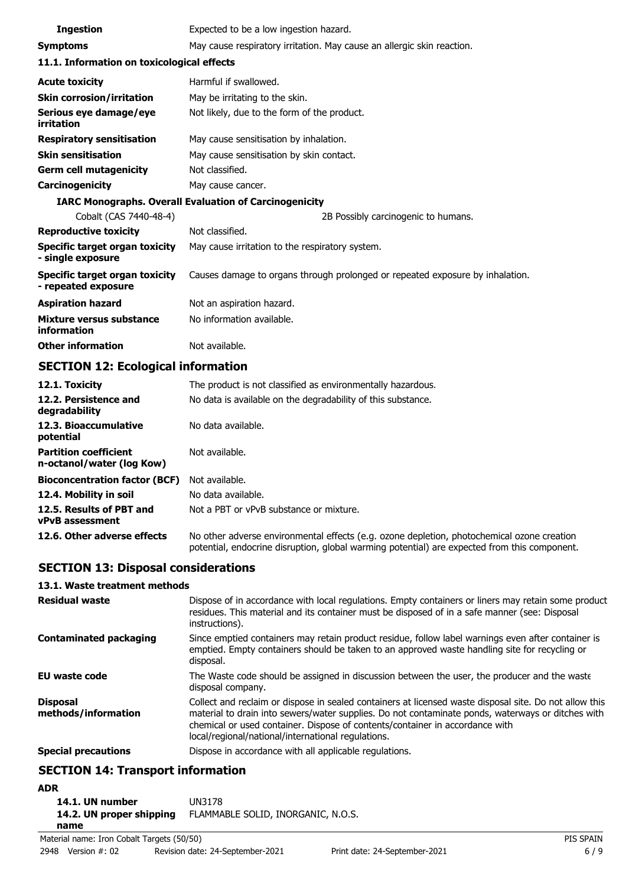| <b>Ingestion</b>                                              | Expected to be a low ingestion hazard.                                        |  |
|---------------------------------------------------------------|-------------------------------------------------------------------------------|--|
| <b>Symptoms</b>                                               | May cause respiratory irritation. May cause an allergic skin reaction.        |  |
| 11.1. Information on toxicological effects                    |                                                                               |  |
| <b>Acute toxicity</b>                                         | Harmful if swallowed.                                                         |  |
| <b>Skin corrosion/irritation</b>                              | May be irritating to the skin.                                                |  |
| Serious eye damage/eye<br>irritation                          | Not likely, due to the form of the product.                                   |  |
| <b>Respiratory sensitisation</b>                              | May cause sensitisation by inhalation.                                        |  |
| <b>Skin sensitisation</b>                                     | May cause sensitisation by skin contact.                                      |  |
| <b>Germ cell mutagenicity</b>                                 | Not classified.                                                               |  |
| <b>Carcinogenicity</b>                                        | May cause cancer.                                                             |  |
| <b>IARC Monographs. Overall Evaluation of Carcinogenicity</b> |                                                                               |  |
| Cobalt (CAS 7440-48-4)                                        | 2B Possibly carcinogenic to humans.                                           |  |
| <b>Reproductive toxicity</b>                                  | Not classified.                                                               |  |
| Specific target organ toxicity<br>- single exposure           | May cause irritation to the respiratory system.                               |  |
| Specific target organ toxicity<br>- repeated exposure         | Causes damage to organs through prolonged or repeated exposure by inhalation. |  |
| <b>Aspiration hazard</b>                                      | Not an aspiration hazard.                                                     |  |
| Mixture versus substance<br>information                       | No information available.                                                     |  |
| <b>Other information</b>                                      | Not available.                                                                |  |

# **SECTION 12: Ecological information**

| 12.1. Toxicity                                            | The product is not classified as environmentally hazardous.                                                                                                                                |
|-----------------------------------------------------------|--------------------------------------------------------------------------------------------------------------------------------------------------------------------------------------------|
| 12.2. Persistence and<br>degradability                    | No data is available on the degradability of this substance.                                                                                                                               |
| 12.3. Bioaccumulative<br>potential                        | No data available.                                                                                                                                                                         |
| <b>Partition coefficient</b><br>n-octanol/water (log Kow) | Not available.                                                                                                                                                                             |
| <b>Bioconcentration factor (BCF)</b>                      | Not available.                                                                                                                                                                             |
| 12.4. Mobility in soil                                    | No data available.                                                                                                                                                                         |
| 12.5. Results of PBT and<br><b>vPvB</b> assessment        | Not a PBT or vPvB substance or mixture.                                                                                                                                                    |
| 12.6. Other adverse effects                               | No other adverse environmental effects (e.g. ozone depletion, photochemical ozone creation<br>potential, endocrine disruption, global warming potential) are expected from this component. |

# **SECTION 13: Disposal considerations**

#### **13.1. Waste treatment methods**

| Residual waste                         | Dispose of in accordance with local regulations. Empty containers or liners may retain some product<br>residues. This material and its container must be disposed of in a safe manner (see: Disposal<br>instructions).                                                                                                                            |
|----------------------------------------|---------------------------------------------------------------------------------------------------------------------------------------------------------------------------------------------------------------------------------------------------------------------------------------------------------------------------------------------------|
| <b>Contaminated packaging</b>          | Since emptied containers may retain product residue, follow label warnings even after container is<br>emptied. Empty containers should be taken to an approved waste handling site for recycling or<br>disposal.                                                                                                                                  |
| EU waste code                          | The Waste code should be assigned in discussion between the user, the producer and the waste<br>disposal company.                                                                                                                                                                                                                                 |
| <b>Disposal</b><br>methods/information | Collect and reclaim or dispose in sealed containers at licensed waste disposal site. Do not allow this<br>material to drain into sewers/water supplies. Do not contaminate ponds, waterways or ditches with<br>chemical or used container. Dispose of contents/container in accordance with<br>local/regional/national/international regulations. |
| <b>Special precautions</b>             | Dispose in accordance with all applicable regulations.                                                                                                                                                                                                                                                                                            |
|                                        |                                                                                                                                                                                                                                                                                                                                                   |

## **SECTION 14: Transport information**

## **ADR**

| 14.1. UN number          | UN3178                             |
|--------------------------|------------------------------------|
| 14.2. UN proper shipping | FLAMMABLE SOLID, INORGANIC, N.O.S. |
| name                     |                                    |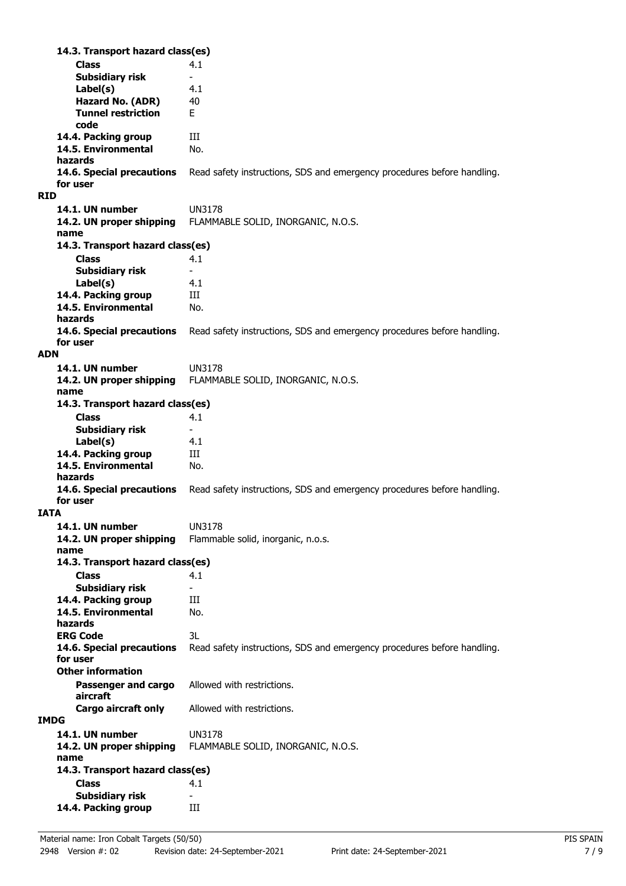**Class** 4.1 **14.3. Transport hazard class(es) Subsidiary risk Label(s)** 4.1 **Hazard No. (ADR)** 40 **Tunnel restriction** E **code 14.4. Packing group III 14.5. Environmental** No. **hazards** Read safety instructions, SDS and emergency procedures before handling. **for user RID 14.1. UN number** UN3178 **14.2. UN proper shipping** FLAMMABLE SOLID, INORGANIC, N.O.S. **name Class** 4.1 **14.3. Transport hazard class(es) Subsidiary risk Label(s)** 4.1 **14.4. Packing group III 14.5. Environmental** No. **hazards 14.6. Special precautions** Read safety instructions, SDS and emergency procedures before handling. **for user ADN 14.1. UN number** UN3178 **14.2. UN proper shipping** FLAMMABLE SOLID, INORGANIC, N.O.S. **name Class** 4.1 **14.3. Transport hazard class(es) Subsidiary risk Label(s)** 4.1 14.4. Packing group **III 14.5. Environmental** No. **hazards 14.6. Special precautions** Read safety instructions, SDS and emergency procedures before handling. **for user IATA 14.1. UN number** UN3178 **14.2. UN proper shipping** Flammable solid, inorganic, n.o.s. **name Class** 4.1 **14.3. Transport hazard class(es) Subsidiary risk 14.4. Packing group III 14.5. Environmental** No. **hazards ERG Code** 3L **14.6. Special precautions** Read safety instructions, SDS and emergency procedures before handling. **for user Passenger and cargo** Allowed with restrictions. **aircraft Other information Cargo aircraft only** Allowed with restrictions. **IMDG 14.1. UN number** UN3178 **14.2. UN proper shipping** FLAMMABLE SOLID, INORGANIC, N.O.S. **name Class** 4.1 **14.3. Transport hazard class(es) Subsidiary risk 14.4. Packing group III**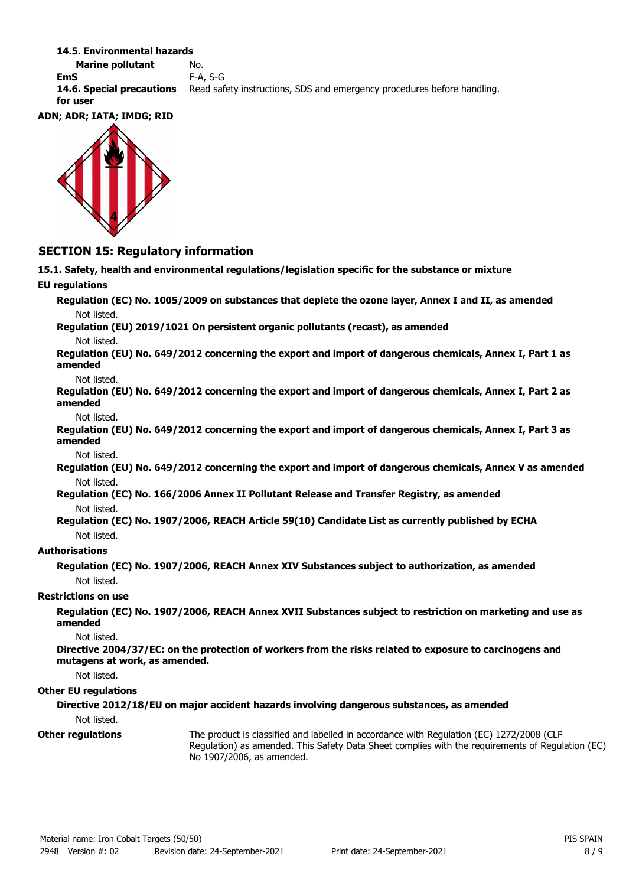#### **14.5. Environmental hazards**

**Marine pollutant** No. **EmS** F-A, S-G **14.6. Special precautions** Read safety instructions, SDS and emergency procedures before handling. **for user**

#### **ADN; ADR; IATA; IMDG; RID**



## **SECTION 15: Regulatory information**

**15.1. Safety, health and environmental regulations/legislation specific for the substance or mixture EU regulations Regulation (EC) No. 1005/2009 on substances that deplete the ozone layer, Annex I and II, as amended**

Not listed.

**Regulation (EU) 2019/1021 On persistent organic pollutants (recast), as amended**

Not listed.

**Regulation (EU) No. 649/2012 concerning the export and import of dangerous chemicals, Annex I, Part 1 as amended**

Not listed.

**Regulation (EU) No. 649/2012 concerning the export and import of dangerous chemicals, Annex I, Part 2 as amended**

Not listed.

**Regulation (EU) No. 649/2012 concerning the export and import of dangerous chemicals, Annex I, Part 3 as amended**

Not listed.

**Regulation (EU) No. 649/2012 concerning the export and import of dangerous chemicals, Annex V as amended** Not listed.

**Regulation (EC) No. 166/2006 Annex II Pollutant Release and Transfer Registry, as amended** Not listed.

**Regulation (EC) No. 1907/2006, REACH Article 59(10) Candidate List as currently published by ECHA** Not listed.

### **Authorisations**

**Regulation (EC) No. 1907/2006, REACH Annex XIV Substances subject to authorization, as amended** Not listed.

#### **Restrictions on use**

**Regulation (EC) No. 1907/2006, REACH Annex XVII Substances subject to restriction on marketing and use as amended**

Not listed.

**Directive 2004/37/EC: on the protection of workers from the risks related to exposure to carcinogens and mutagens at work, as amended.**

Not listed.

#### **Other EU regulations**

**Directive 2012/18/EU on major accident hazards involving dangerous substances, as amended** Not listed.

**Other regulations**

The product is classified and labelled in accordance with Regulation (EC) 1272/2008 (CLP Regulation) as amended. This Safety Data Sheet complies with the requirements of Regulation (EC) No 1907/2006, as amended.